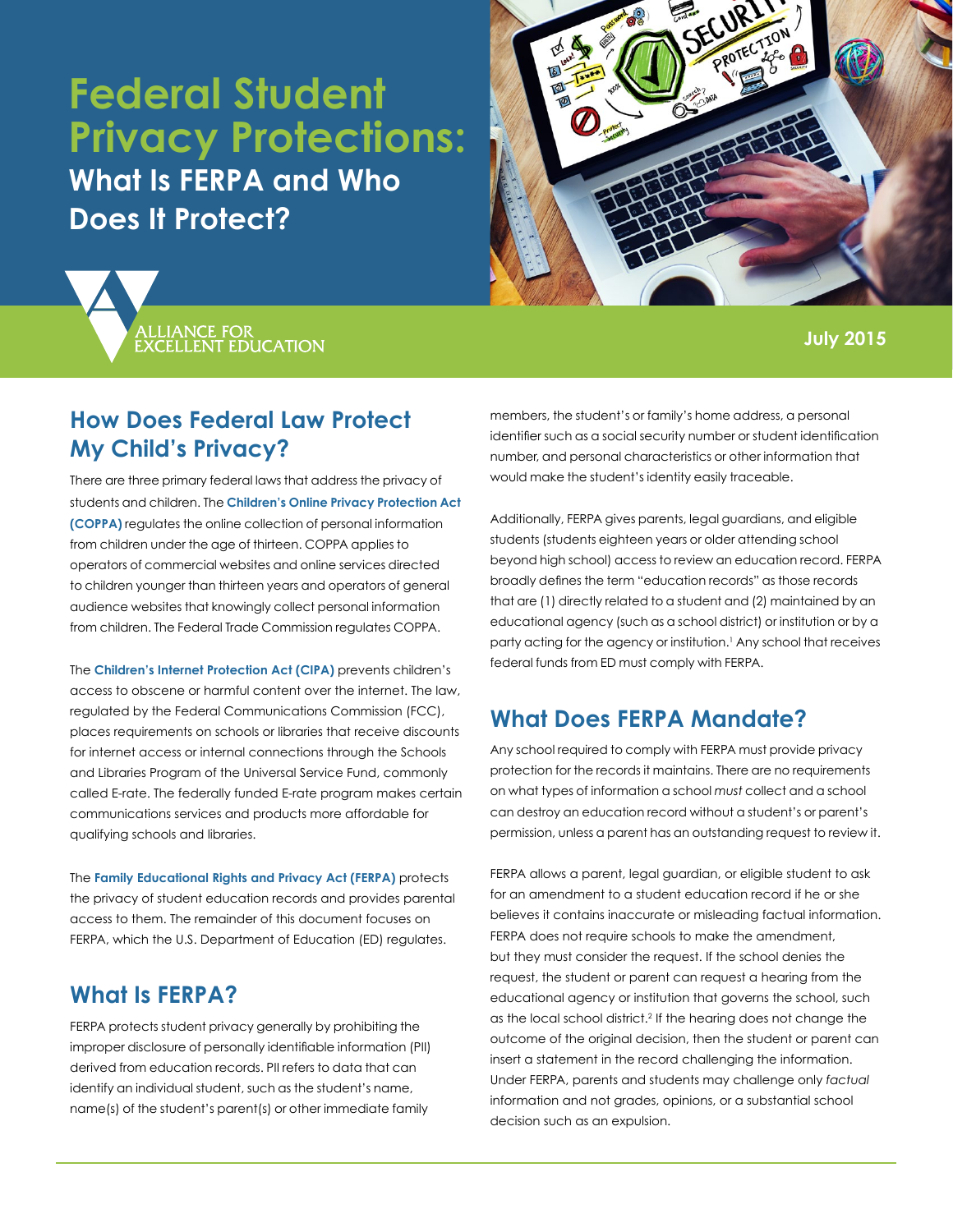# **Federal Student Privacy Protections:**

**What Is FERPA and Who Does It Protect?**





#### **July 2015**

### **How Does Federal Law Protect My Child's Privacy?**

There are three primary federal laws that address the privacy of students and children. The **[Children's Online Privacy Protection Act](https://www.ftc.gov/enforcement/rules/rulemaking-regulatory-reform-proceedings/childrens-online-privacy-protection-rule)  [\(COPPA\)](https://www.ftc.gov/enforcement/rules/rulemaking-regulatory-reform-proceedings/childrens-online-privacy-protection-rule)** regulates the online collection of personal information from children under the age of thirteen. COPPA applies to operators of commercial websites and online services directed to children younger than thirteen years and operators of general audience websites that knowingly collect personal information from children. The Federal Trade Commission regulates COPPA.

The **[Children's Internet Protection Act \(CIPA\)](http://www.fcc.gov/guides/childrens-internet-protection-act)** prevents children's access to obscene or harmful content over the internet. The law, regulated by the Federal Communications Commission (FCC), places requirements on schools or libraries that receive discounts for internet access or internal connections through the Schools and Libraries Program of the Universal Service Fund, commonly called E-rate. The federally funded E-rate program makes certain communications services and products more affordable for qualifying schools and libraries.

The **[Family Educational Rights and Privacy Act \(FERPA\)](http://www2.ed.gov/policy/gen/guid/fpco/ferpa/index.html)** protects the privacy of student education records and provides parental access to them. The remainder of this document focuses on FERPA, which the U.S. Department of Education (ED) regulates.

### **What Is FERPA?**

FERPA protects student privacy generally by prohibiting the improper disclosure of personally identifiable information (PII) derived from education records. PII refers to data that can identify an individual student, such as the student's name, name(s) of the student's parent(s) or other immediate family

members, the student's or family's home address, a personal identifier such as a social security number or student identification number, and personal characteristics or other information that would make the student's identity easily traceable.

Additionally, FERPA gives parents, legal guardians, and eligible students (students eighteen years or older attending school beyond high school) access to review an education record. FERPA broadly defines the term "education records" as those records that are (1) directly related to a student and (2) maintained by an educational agency (such as a school district) or institution or by a party acting for the agency or institution.1 Any school that receives federal funds from ED must comply with FERPA.

## **What Does FERPA Mandate?**

Any school required to comply with FERPA must provide privacy protection for the records it maintains. There are no requirements on what types of information a school *must* collect and a school can destroy an education record without a student's or parent's permission, unless a parent has an outstanding request to review it.

FERPA allows a parent, legal guardian, or eligible student to ask for an amendment to a student education record if he or she believes it contains inaccurate or misleading factual information. FERPA does not require schools to make the amendment, but they must consider the request. If the school denies the request, the student or parent can request a hearing from the educational agency or institution that governs the school, such as the local school district.<sup>2</sup> If the hearing does not change the outcome of the original decision, then the student or parent can insert a statement in the record challenging the information. Under FERPA, parents and students may challenge only *factual* information and not grades, opinions, or a substantial school decision such as an expulsion.